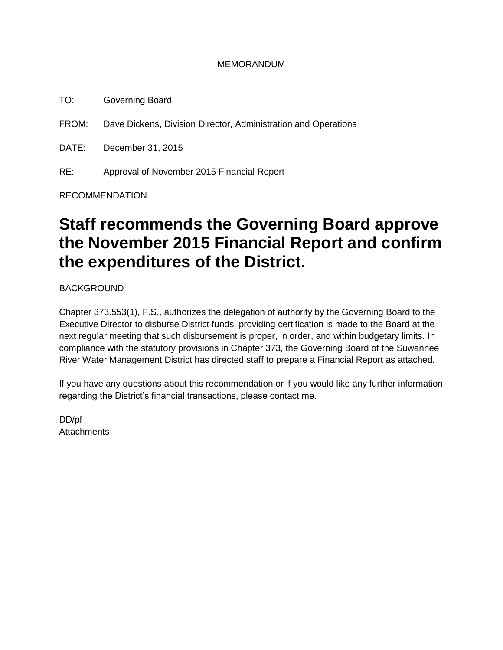#### MEMORANDUM

TO: Governing Board

FROM: Dave Dickens, Division Director, Administration and Operations

DATE: December 31, 2015

RE: Approval of November 2015 Financial Report

RECOMMENDATION

# **Staff recommends the Governing Board approve the November 2015 Financial Report and confirm the expenditures of the District.**

BACKGROUND

Chapter 373.553(1), F.S., authorizes the delegation of authority by the Governing Board to the Executive Director to disburse District funds, providing certification is made to the Board at the next regular meeting that such disbursement is proper, in order, and within budgetary limits. In compliance with the statutory provisions in Chapter 373, the Governing Board of the Suwannee River Water Management District has directed staff to prepare a Financial Report as attached.

If you have any questions about this recommendation or if you would like any further information regarding the District's financial transactions, please contact me.

DD/pf **Attachments**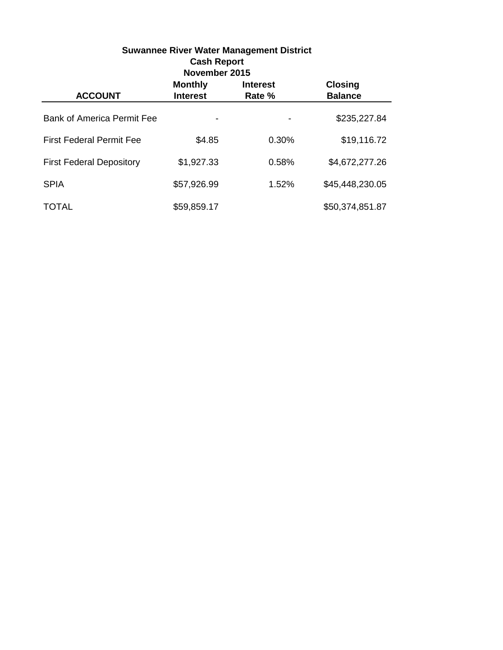| <b>Suwannee River Water Management District</b><br><b>Cash Report</b><br>November 2015 |                                   |                           |                                  |  |
|----------------------------------------------------------------------------------------|-----------------------------------|---------------------------|----------------------------------|--|
| <b>ACCOUNT</b>                                                                         | <b>Monthly</b><br><b>Interest</b> | <b>Interest</b><br>Rate % | <b>Closing</b><br><b>Balance</b> |  |
| <b>Bank of America Permit Fee</b>                                                      |                                   |                           | \$235,227.84                     |  |
| <b>First Federal Permit Fee</b>                                                        | \$4.85                            | 0.30%                     | \$19,116.72                      |  |
| <b>First Federal Depository</b>                                                        | \$1,927.33                        | 0.58%                     | \$4,672,277.26                   |  |
| <b>SPIA</b>                                                                            | \$57,926.99                       | 1.52%                     | \$45,448,230.05                  |  |
| TOTAL                                                                                  | \$59,859.17                       |                           | \$50,374,851.87                  |  |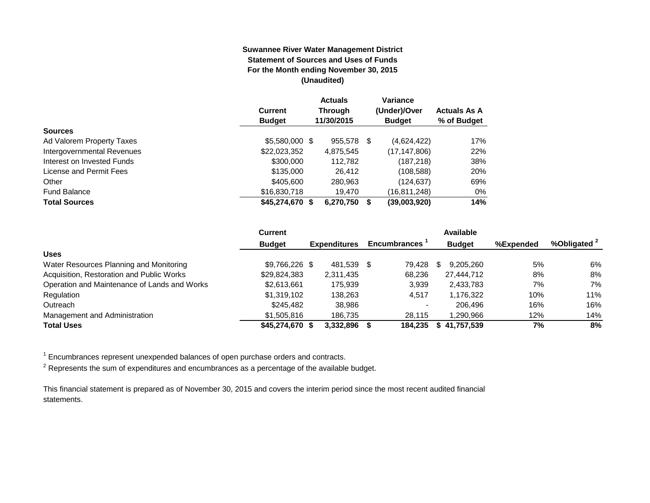#### **Suwannee River Water Management District Statement of Sources and Uses of Funds For the Month ending November 30, 2015 (Unaudited)**

|                            |                 | <b>Actuals</b> | Variance      |                     |
|----------------------------|-----------------|----------------|---------------|---------------------|
|                            | <b>Current</b>  | <b>Through</b> | (Under)/Over  | <b>Actuals As A</b> |
|                            | <b>Budget</b>   | 11/30/2015     | <b>Budget</b> | % of Budget         |
| <b>Sources</b>             |                 |                |               |                     |
| Ad Valorem Property Taxes  | \$5,580,000 \$  | 955,578 \$     | (4,624,422)   | 17%                 |
| Intergovernmental Revenues | \$22,023,352    | 4,875,545      | (17,147,806)  | 22%                 |
| Interest on Invested Funds | \$300,000       | 112.782        | (187, 218)    | 38%                 |
| License and Permit Fees    | \$135,000       | 26.412         | (108, 588)    | 20%                 |
| Other                      | \$405,600       | 280,963        | (124, 637)    | 69%                 |
| <b>Fund Balance</b>        | \$16,830,718    | 19.470         | (16,811,248)  | $0\%$               |
| <b>Total Sources</b>       | \$45,274,670 \$ | 6,270,750      | (39,003,920)  | 14%                 |

|                                              | <b>Current</b>  |                     |      |                          | Available     |           |                         |
|----------------------------------------------|-----------------|---------------------|------|--------------------------|---------------|-----------|-------------------------|
|                                              | <b>Budget</b>   | <b>Expenditures</b> |      | <b>Encumbrances</b>      | <b>Budget</b> | %Expended | %Obligated <sup>2</sup> |
| <b>Uses</b>                                  |                 |                     |      |                          |               |           |                         |
| Water Resources Planning and Monitoring      | $$9,766,226$ \$ | 481.539             | - \$ | 79.428                   | 9.205.260     | 5%        | 6%                      |
| Acquisition, Restoration and Public Works    | \$29,824,383    | 2,311,435           |      | 68.236                   | 27.444.712    | 8%        | 8%                      |
| Operation and Maintenance of Lands and Works | \$2,613,661     | 175.939             |      | 3,939                    | 2,433,783     | 7%        | 7%                      |
| Regulation                                   | \$1,319,102     | 138.263             |      | 4.517                    | .176.322      | 10%       | 11%                     |
| Outreach                                     | \$245.482       | 38.986              |      | $\overline{\phantom{0}}$ | 206.496       | 16%       | 16%                     |
| Management and Administration                | \$1,505,816     | 186.735             |      | 28.115                   | .290.966      | 12%       | 14%                     |
| <b>Total Uses</b>                            | \$45,274,670 \$ | 3.332.896           |      | 184.235                  | \$41,757,539  | 7%        | 8%                      |

 $1$  Encumbrances represent unexpended balances of open purchase orders and contracts.

 $^2$  Represents the sum of expenditures and encumbrances as a percentage of the available budget.

This financial statement is prepared as of November 30, 2015 and covers the interim period since the most recent audited financial statements.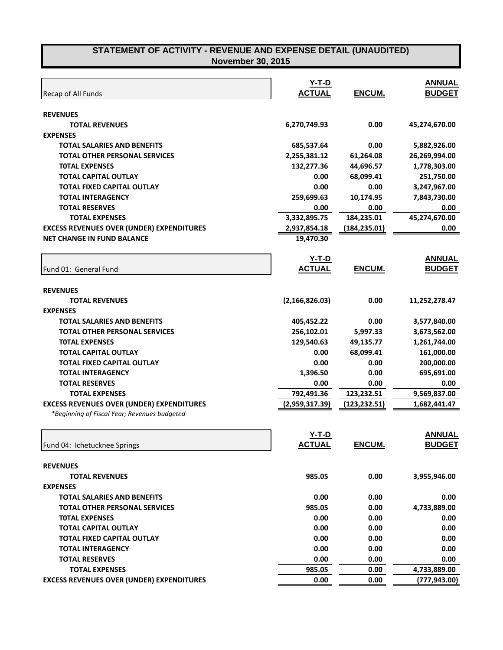| Recap of All Funds                               | Y-T-D<br><b>ACTUAL</b> | ENCUM.        | <b>ANNUAL</b><br><b>BUDGET</b> |
|--------------------------------------------------|------------------------|---------------|--------------------------------|
| <b>REVENUES</b>                                  |                        |               |                                |
| <b>TOTAL REVENUES</b>                            | 6,270,749.93           | 0.00          | 45,274,670.00                  |
| <b>EXPENSES</b>                                  |                        |               |                                |
| <b>TOTAL SALARIES AND BENEFITS</b>               | 685,537.64             | 0.00          | 5,882,926.00                   |
| <b>TOTAL OTHER PERSONAL SERVICES</b>             | 2,255,381.12           | 61,264.08     | 26,269,994.00                  |
| <b>TOTAL EXPENSES</b>                            | 132,277.36             | 44,696.57     | 1,778,303.00                   |
| <b>TOTAL CAPITAL OUTLAY</b>                      | 0.00                   | 68,099.41     | 251,750.00                     |
| <b>TOTAL FIXED CAPITAL OUTLAY</b>                | 0.00                   | 0.00          | 3,247,967.00                   |
| <b>TOTAL INTERAGENCY</b>                         | 259,699.63             | 10,174.95     | 7,843,730.00                   |
| <b>TOTAL RESERVES</b>                            | 0.00                   | 0.00          | 0.00                           |
| <b>TOTAL EXPENSES</b>                            | 3,332,895.75           | 184,235.01    | 45,274,670.00                  |
| <b>EXCESS REVENUES OVER (UNDER) EXPENDITURES</b> | 2,937,854.18           | (184, 235.01) | 0.00                           |
| <b>NET CHANGE IN FUND BALANCE</b>                | 19,470.30              |               |                                |
|                                                  | <b>Y-T-D</b>           |               | <b>ANNUAL</b>                  |
| Fund 01: General Fund                            | <b>ACTUAL</b>          | ENCUM.        | <b>BUDGET</b>                  |
| <b>REVENUES</b>                                  |                        |               |                                |
| <b>TOTAL REVENUES</b>                            | (2, 166, 826.03)       | 0.00          | 11,252,278.47                  |
| <b>EXPENSES</b>                                  |                        |               |                                |
| <b>TOTAL SALARIES AND BENEFITS</b>               | 405,452.22             | 0.00          | 3,577,840.00                   |
| <b>TOTAL OTHER PERSONAL SERVICES</b>             | 256,102.01             | 5,997.33      | 3,673,562.00                   |
| <b>TOTAL EXPENSES</b>                            | 129,540.63             | 49,135.77     | 1,261,744.00                   |
| <b>TOTAL CAPITAL OUTLAY</b>                      | 0.00                   | 68,099.41     | 161,000.00                     |
| <b>TOTAL FIXED CAPITAL OUTLAY</b>                | 0.00                   | 0.00          | 200,000.00                     |
| <b>TOTAL INTERAGENCY</b>                         | 1,396.50               | 0.00          | 695,691.00                     |
| <b>TOTAL RESERVES</b>                            | 0.00                   | 0.00          | 0.00                           |
| <b>TOTAL EXPENSES</b>                            | 792,491.36             | 123,232.51    | 9,569,837.00                   |
| <b>EXCESS REVENUES OVER (UNDER) EXPENDITURES</b> | (2,959,317.39)         | (123, 232.51) | 1,682,441.47                   |
| *Beginning of Fiscal Year; Revenues budgeted     |                        |               |                                |
|                                                  | $Y-T-D$                |               | <b>ANNUAL</b>                  |
| Fund 04: Ichetucknee Springs                     | <b>ACTUAL</b>          | ENCUM.        | <b>BUDGET</b>                  |
| <b>REVENUES</b>                                  |                        |               |                                |
| <b>TOTAL REVENUES</b>                            | 985.05                 | 0.00          | 3,955,946.00                   |
| <b>EXPENSES</b>                                  |                        |               |                                |
| <b>TOTAL SALARIES AND BENEFITS</b>               | 0.00                   | 0.00          | 0.00                           |
| <b>TOTAL OTHER PERSONAL SERVICES</b>             | 985.05                 | 0.00          | 4,733,889.00                   |
| <b>TOTAL EXPENSES</b>                            | 0.00                   | 0.00          | 0.00                           |
| <b>TOTAL CAPITAL OUTLAY</b>                      | 0.00                   | 0.00          | 0.00                           |
| <b>TOTAL FIXED CAPITAL OUTLAY</b>                | 0.00                   | 0.00          | 0.00                           |
| <b>TOTAL INTERAGENCY</b>                         | 0.00                   | 0.00          | 0.00                           |
| <b>TOTAL RESERVES</b>                            | 0.00                   | 0.00          | 0.00                           |
| <b>TOTAL EXPENSES</b>                            | 985.05                 | 0.00          | 4,733,889.00                   |
| <b>EXCESS REVENUES OVER (UNDER) EXPENDITURES</b> | 0.00                   | 0.00          | (777,943.00)                   |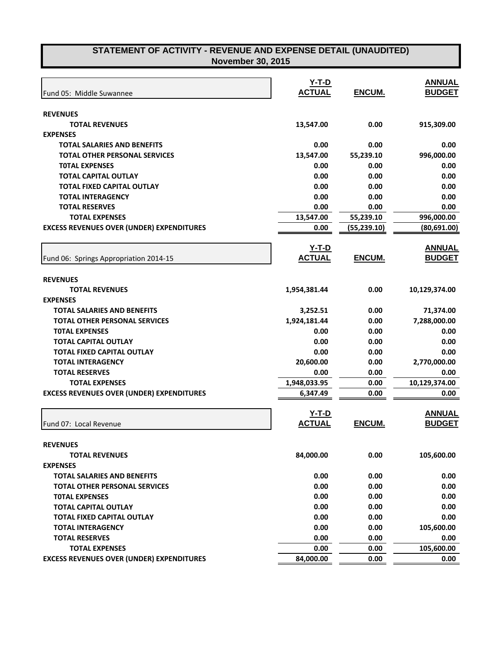| Fund 05: Middle Suwannee                         | $Y-T-D$<br><b>ACTUAL</b> | ENCUM.       | <b>ANNUAL</b><br><b>BUDGET</b> |
|--------------------------------------------------|--------------------------|--------------|--------------------------------|
| <b>REVENUES</b>                                  |                          |              |                                |
| <b>TOTAL REVENUES</b>                            | 13,547.00                | 0.00         | 915,309.00                     |
| <b>EXPENSES</b>                                  |                          |              |                                |
| <b>TOTAL SALARIES AND BENEFITS</b>               | 0.00                     | 0.00         | 0.00                           |
| <b>TOTAL OTHER PERSONAL SERVICES</b>             | 13,547.00                | 55,239.10    | 996,000.00                     |
| <b>TOTAL EXPENSES</b>                            | 0.00                     | 0.00         | 0.00                           |
| <b>TOTAL CAPITAL OUTLAY</b>                      | 0.00                     | 0.00         | 0.00                           |
| <b>TOTAL FIXED CAPITAL OUTLAY</b>                | 0.00                     | 0.00         | 0.00                           |
| <b>TOTAL INTERAGENCY</b>                         | 0.00                     | 0.00         | 0.00                           |
| <b>TOTAL RESERVES</b>                            | 0.00                     | 0.00         | 0.00                           |
| <b>TOTAL EXPENSES</b>                            | 13,547.00                | 55,239.10    | 996,000.00                     |
| <b>EXCESS REVENUES OVER (UNDER) EXPENDITURES</b> | 0.00                     | (55, 239.10) | (80, 691.00)                   |
|                                                  |                          |              |                                |
|                                                  | <u>Y-T-D</u>             |              | <b>ANNUAL</b>                  |
| Fund 06: Springs Appropriation 2014-15           | <b>ACTUAL</b>            | ENCUM.       | <b>BUDGET</b>                  |
|                                                  |                          |              |                                |
| <b>REVENUES</b>                                  |                          |              |                                |
| <b>TOTAL REVENUES</b>                            | 1,954,381.44             | 0.00         | 10,129,374.00                  |
| <b>EXPENSES</b>                                  |                          |              |                                |
| <b>TOTAL SALARIES AND BENEFITS</b>               | 3,252.51                 | 0.00         | 71,374.00                      |
| <b>TOTAL OTHER PERSONAL SERVICES</b>             | 1,924,181.44             | 0.00         | 7,288,000.00                   |
| <b>TOTAL EXPENSES</b>                            | 0.00                     | 0.00         | 0.00                           |
| <b>TOTAL CAPITAL OUTLAY</b>                      | 0.00                     | 0.00         | 0.00                           |
| <b>TOTAL FIXED CAPITAL OUTLAY</b>                | 0.00                     | 0.00         | 0.00                           |
| <b>TOTAL INTERAGENCY</b>                         | 20,600.00                | 0.00         | 2,770,000.00                   |
| <b>TOTAL RESERVES</b>                            | 0.00                     | 0.00         | 0.00                           |
| <b>TOTAL EXPENSES</b>                            | 1,948,033.95             | 0.00         | 10,129,374.00                  |
| <b>EXCESS REVENUES OVER (UNDER) EXPENDITURES</b> | 6,347.49                 | 0.00         | 0.00                           |
|                                                  | $Y-T-D$                  |              | <b>ANNUAL</b>                  |
|                                                  | <b>ACTUAL</b>            | ENCUM.       | <b>BUDGET</b>                  |
| Fund 07: Local Revenue                           |                          |              |                                |
| <b>REVENUES</b>                                  |                          |              |                                |
| <b>TOTAL REVENUES</b>                            | 84,000.00                | 0.00         | 105,600.00                     |
| <b>EXPENSES</b>                                  |                          |              |                                |
| <b>TOTAL SALARIES AND BENEFITS</b>               | 0.00                     | 0.00         | 0.00                           |
| <b>TOTAL OTHER PERSONAL SERVICES</b>             | 0.00                     | 0.00         | 0.00                           |
| <b>TOTAL EXPENSES</b>                            | 0.00                     | 0.00         | 0.00                           |
| <b>TOTAL CAPITAL OUTLAY</b>                      | 0.00                     | 0.00         | 0.00                           |
| <b>TOTAL FIXED CAPITAL OUTLAY</b>                | 0.00                     | 0.00         | 0.00                           |
| <b>TOTAL INTERAGENCY</b>                         | 0.00                     | 0.00         | 105,600.00                     |
| <b>TOTAL RESERVES</b>                            | 0.00                     | 0.00         | 0.00                           |
| <b>TOTAL EXPENSES</b>                            | 0.00                     | 0.00         | 105,600.00                     |
| <b>EXCESS REVENUES OVER (UNDER) EXPENDITURES</b> | 84,000.00                | 0.00         | 0.00                           |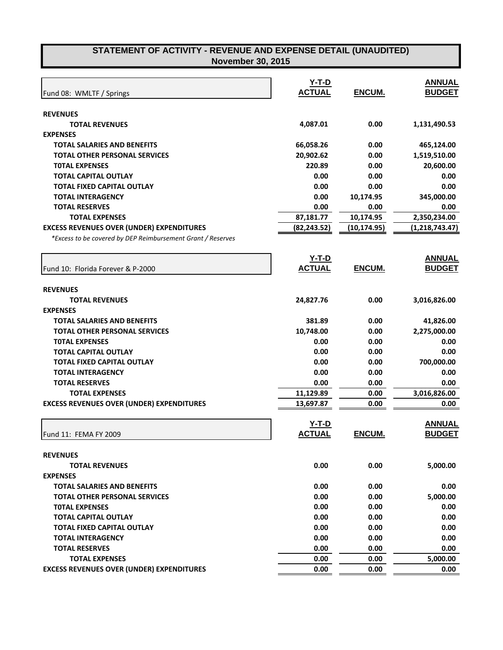|                                                             | $Y-T-D$       |               | <b>ANNUAL</b>  |
|-------------------------------------------------------------|---------------|---------------|----------------|
| Fund 08: WMLTF / Springs                                    | <b>ACTUAL</b> | <b>ENCUM.</b> | <b>BUDGET</b>  |
|                                                             |               |               |                |
| <b>REVENUES</b>                                             |               |               |                |
| <b>TOTAL REVENUES</b>                                       | 4,087.01      | 0.00          | 1,131,490.53   |
| <b>EXPENSES</b>                                             |               |               |                |
| <b>TOTAL SALARIES AND BENEFITS</b>                          | 66,058.26     | 0.00          | 465,124.00     |
| <b>TOTAL OTHER PERSONAL SERVICES</b>                        | 20,902.62     | 0.00          | 1,519,510.00   |
| <b>TOTAL EXPENSES</b>                                       | 220.89        | 0.00          | 20,600.00      |
| <b>TOTAL CAPITAL OUTLAY</b>                                 | 0.00          | 0.00          | 0.00           |
| <b>TOTAL FIXED CAPITAL OUTLAY</b>                           | 0.00          | 0.00          | 0.00           |
| <b>TOTAL INTERAGENCY</b>                                    | 0.00          | 10,174.95     | 345,000.00     |
| <b>TOTAL RESERVES</b>                                       | 0.00          | 0.00          | 0.00           |
| <b>TOTAL EXPENSES</b>                                       | 87,181.77     | 10,174.95     | 2,350,234.00   |
| <b>EXCESS REVENUES OVER (UNDER) EXPENDITURES</b>            | (82, 243.52)  | (10, 174.95)  | (1,218,743.47) |
| *Excess to be covered by DEP Reimbursement Grant / Reserves |               |               |                |
|                                                             | <u>Y-T-D</u>  |               | <b>ANNUAL</b>  |
| Fund 10: Florida Forever & P-2000                           | <b>ACTUAL</b> | ENCUM.        | <b>BUDGET</b>  |
|                                                             |               |               |                |
| <b>REVENUES</b>                                             |               |               |                |
| <b>TOTAL REVENUES</b>                                       | 24,827.76     | 0.00          | 3,016,826.00   |
| <b>EXPENSES</b>                                             |               |               |                |
| <b>TOTAL SALARIES AND BENEFITS</b>                          | 381.89        | 0.00          | 41,826.00      |
| <b>TOTAL OTHER PERSONAL SERVICES</b>                        | 10,748.00     | 0.00          | 2,275,000.00   |
| <b>TOTAL EXPENSES</b>                                       | 0.00          | 0.00          | 0.00           |
| <b>TOTAL CAPITAL OUTLAY</b>                                 | 0.00          | 0.00          | 0.00           |
| <b>TOTAL FIXED CAPITAL OUTLAY</b>                           | 0.00          | 0.00          | 700,000.00     |
| <b>TOTAL INTERAGENCY</b>                                    | 0.00          | 0.00          | 0.00           |
| <b>TOTAL RESERVES</b>                                       | 0.00          | 0.00          | 0.00           |
| <b>TOTAL EXPENSES</b>                                       | 11,129.89     | 0.00          | 3,016,826.00   |
| <b>EXCESS REVENUES OVER (UNDER) EXPENDITURES</b>            | 13,697.87     | 0.00          | 0.00           |
|                                                             |               |               |                |
|                                                             | $Y-T-D$       |               | <b>ANNUAL</b>  |
| Fund 11: FEMA FY 2009                                       | <b>ACTUAL</b> | ENCUM.        | <b>BUDGET</b>  |
| <b>REVENUES</b>                                             |               |               |                |
| <b>TOTAL REVENUES</b>                                       | 0.00          | 0.00          | 5,000.00       |
| <b>EXPENSES</b>                                             |               |               |                |
| <b>TOTAL SALARIES AND BENEFITS</b>                          | 0.00          | 0.00          | 0.00           |
| <b>TOTAL OTHER PERSONAL SERVICES</b>                        | 0.00          | 0.00          | 5,000.00       |
| <b>TOTAL EXPENSES</b>                                       | 0.00          | 0.00          | 0.00           |
| <b>TOTAL CAPITAL OUTLAY</b>                                 | 0.00          | 0.00          | 0.00           |
| <b>TOTAL FIXED CAPITAL OUTLAY</b>                           | 0.00          | 0.00          | 0.00           |
| <b>TOTAL INTERAGENCY</b>                                    | 0.00          | 0.00          | 0.00           |
| <b>TOTAL RESERVES</b>                                       | 0.00          | 0.00          | 0.00           |
| <b>TOTAL EXPENSES</b>                                       | 0.00          | 0.00          | 5,000.00       |
| <b>EXCESS REVENUES OVER (UNDER) EXPENDITURES</b>            | 0.00          | 0.00          | 0.00           |
|                                                             |               |               |                |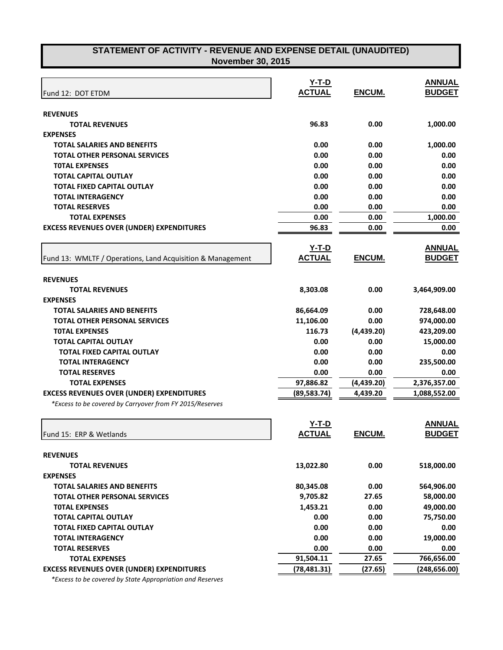|                                                            | $Y-T-D$       |               | <b>ANNUAL</b> |
|------------------------------------------------------------|---------------|---------------|---------------|
| Fund 12: DOT ETDM                                          | <b>ACTUAL</b> | <b>ENCUM.</b> | <b>BUDGET</b> |
| <b>REVENUES</b>                                            |               |               |               |
| <b>TOTAL REVENUES</b>                                      | 96.83         | 0.00          | 1,000.00      |
| <b>EXPENSES</b>                                            |               |               |               |
| <b>TOTAL SALARIES AND BENEFITS</b>                         | 0.00          | 0.00          | 1,000.00      |
| <b>TOTAL OTHER PERSONAL SERVICES</b>                       | 0.00          | 0.00          | 0.00          |
| <b>TOTAL EXPENSES</b>                                      | 0.00          | 0.00          | 0.00          |
| <b>TOTAL CAPITAL OUTLAY</b>                                | 0.00          | 0.00          | 0.00          |
| <b>TOTAL FIXED CAPITAL OUTLAY</b>                          | 0.00          | 0.00          | 0.00          |
| <b>TOTAL INTERAGENCY</b>                                   | 0.00          | 0.00          | 0.00          |
| <b>TOTAL RESERVES</b>                                      | 0.00          | 0.00          | 0.00          |
| <b>TOTAL EXPENSES</b>                                      | 0.00          | 0.00          | 1,000.00      |
| <b>EXCESS REVENUES OVER (UNDER) EXPENDITURES</b>           | 96.83         | 0.00          | 0.00          |
|                                                            | <u>Y-T-D</u>  |               | <b>ANNUAL</b> |
| Fund 13: WMLTF / Operations, Land Acquisition & Management | <b>ACTUAL</b> | ENCUM.        | <b>BUDGET</b> |
| <b>REVENUES</b>                                            |               |               |               |
| <b>TOTAL REVENUES</b>                                      | 8,303.08      | 0.00          | 3,464,909.00  |
| <b>EXPENSES</b>                                            |               |               |               |
| <b>TOTAL SALARIES AND BENEFITS</b>                         | 86,664.09     | 0.00          | 728,648.00    |
| <b>TOTAL OTHER PERSONAL SERVICES</b>                       | 11,106.00     | 0.00          | 974,000.00    |
| <b>TOTAL EXPENSES</b>                                      | 116.73        | (4,439.20)    | 423,209.00    |
| TOTAL CAPITAL OUTLAY                                       | 0.00          | 0.00          | 15,000.00     |
| <b>TOTAL FIXED CAPITAL OUTLAY</b>                          | 0.00          | 0.00          | 0.00          |
| <b>TOTAL INTERAGENCY</b>                                   | 0.00          | 0.00          | 235,500.00    |
| <b>TOTAL RESERVES</b>                                      | 0.00          | 0.00          | 0.00          |
| <b>TOTAL EXPENSES</b>                                      | 97,886.82     | (4,439.20)    | 2,376,357.00  |
| <b>EXCESS REVENUES OVER (UNDER) EXPENDITURES</b>           | (89, 583.74)  | 4,439.20      | 1,088,552.00  |
| *Excess to be covered by Carryover from FY 2015/Reserves   |               |               |               |
|                                                            | $Y-T-D$       |               | <b>ANNUAL</b> |
| Fund 15: ERP & Wetlands                                    | <b>ACTUAL</b> | <b>ENCUM.</b> | <b>BUDGET</b> |
| <b>REVENUES</b>                                            |               |               |               |
| <b>TOTAL REVENUES</b>                                      | 13,022.80     | 0.00          | 518,000.00    |
| <b>EXPENSES</b>                                            |               |               |               |
| <b>TOTAL SALARIES AND BENEFITS</b>                         | 80,345.08     | 0.00          | 564,906.00    |
| <b>TOTAL OTHER PERSONAL SERVICES</b>                       | 9,705.82      | 27.65         | 58,000.00     |
| <b>TOTAL EXPENSES</b>                                      | 1,453.21      | 0.00          | 49,000.00     |
| <b>TOTAL CAPITAL OUTLAY</b>                                | 0.00          | 0.00          | 75,750.00     |
| <b>TOTAL FIXED CAPITAL OUTLAY</b>                          | 0.00          | 0.00          | 0.00          |
| <b>TOTAL INTERAGENCY</b>                                   | 0.00          | 0.00          | 19,000.00     |
| <b>TOTAL RESERVES</b>                                      | 0.00          | 0.00          | 0.00          |
| <b>TOTAL EXPENSES</b>                                      | 91,504.11     | 27.65         | 766,656.00    |
| <b>EXCESS REVENUES OVER (UNDER) EXPENDITURES</b>           | (78, 481.31)  | (27.65)       | (248, 656.00) |

 *\*Excess to be covered by State Appropriation and Reserves*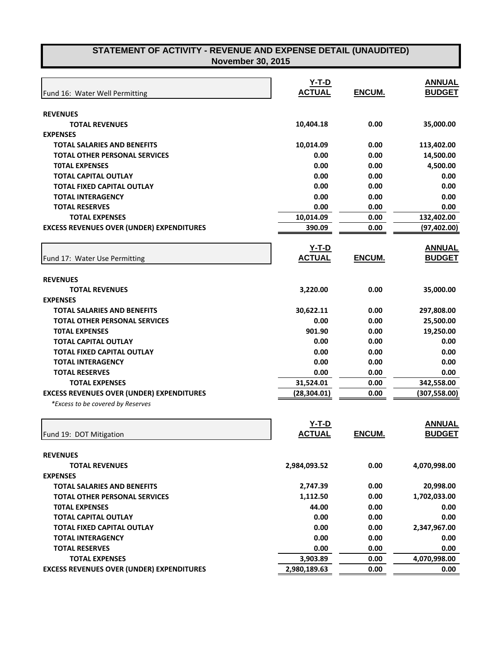| Fund 16: Water Well Permitting                   | $Y-T-D$<br><b>ACTUAL</b> | ENCUM.        | <b>ANNUAL</b><br><b>BUDGET</b> |
|--------------------------------------------------|--------------------------|---------------|--------------------------------|
|                                                  |                          |               |                                |
| <b>REVENUES</b>                                  |                          |               |                                |
| <b>TOTAL REVENUES</b>                            | 10,404.18                | 0.00          | 35,000.00                      |
| <b>EXPENSES</b>                                  |                          |               |                                |
| <b>TOTAL SALARIES AND BENEFITS</b>               | 10,014.09                | 0.00          | 113,402.00                     |
| <b>TOTAL OTHER PERSONAL SERVICES</b>             | 0.00                     | 0.00          | 14,500.00                      |
| <b>TOTAL EXPENSES</b>                            | 0.00                     | 0.00          | 4,500.00                       |
| <b>TOTAL CAPITAL OUTLAY</b>                      | 0.00                     | 0.00          | 0.00                           |
| <b>TOTAL FIXED CAPITAL OUTLAY</b>                | 0.00                     | 0.00          | 0.00                           |
| <b>TOTAL INTERAGENCY</b>                         | 0.00                     | 0.00          | 0.00                           |
| <b>TOTAL RESERVES</b>                            | 0.00                     | 0.00          | 0.00                           |
| <b>TOTAL EXPENSES</b>                            | 10,014.09                | 0.00          | 132,402.00                     |
| <b>EXCESS REVENUES OVER (UNDER) EXPENDITURES</b> | 390.09                   | 0.00          | (97, 402.00)                   |
|                                                  | <u>Y-T-D</u>             |               | <b>ANNUAL</b>                  |
| Fund 17: Water Use Permitting                    | <b>ACTUAL</b>            | ENCUM.        | <b>BUDGET</b>                  |
| <b>REVENUES</b>                                  |                          |               |                                |
| <b>TOTAL REVENUES</b>                            | 3,220.00                 | 0.00          | 35,000.00                      |
| <b>EXPENSES</b>                                  |                          |               |                                |
| <b>TOTAL SALARIES AND BENEFITS</b>               | 30,622.11                | 0.00          | 297,808.00                     |
| <b>TOTAL OTHER PERSONAL SERVICES</b>             | 0.00                     | 0.00          | 25,500.00                      |
| <b>TOTAL EXPENSES</b>                            | 901.90                   | 0.00          | 19,250.00                      |
| <b>TOTAL CAPITAL OUTLAY</b>                      | 0.00                     | 0.00          | 0.00                           |
| <b>TOTAL FIXED CAPITAL OUTLAY</b>                | 0.00                     | 0.00          | 0.00                           |
| <b>TOTAL INTERAGENCY</b>                         | 0.00                     | 0.00          | 0.00                           |
| <b>TOTAL RESERVES</b>                            | 0.00                     | 0.00          | 0.00                           |
| <b>TOTAL EXPENSES</b>                            | 31,524.01                | 0.00          | 342,558.00                     |
| <b>EXCESS REVENUES OVER (UNDER) EXPENDITURES</b> | (28,304.01)              | 0.00          | (307, 558.00)                  |
| *Excess to be covered by Reserves                |                          |               |                                |
|                                                  | $Y-T-D$                  |               | <b>ANNUAL</b>                  |
| Fund 19: DOT Mitigation                          | <b>ACTUAL</b>            | <b>ENCUM.</b> | <b>BUDGET</b>                  |
| <b>REVENUES</b>                                  |                          |               |                                |
| <b>TOTAL REVENUES</b>                            | 2,984,093.52             | 0.00          | 4,070,998.00                   |
| <b>EXPENSES</b>                                  |                          |               |                                |
| <b>TOTAL SALARIES AND BENEFITS</b>               | 2,747.39                 | 0.00          | 20,998.00                      |
| <b>TOTAL OTHER PERSONAL SERVICES</b>             | 1,112.50                 | 0.00          | 1,702,033.00                   |
| <b>TOTAL EXPENSES</b>                            | 44.00                    | 0.00          | 0.00                           |
| <b>TOTAL CAPITAL OUTLAY</b>                      | 0.00                     | 0.00          | 0.00                           |
| <b>TOTAL FIXED CAPITAL OUTLAY</b>                | 0.00                     | 0.00          | 2,347,967.00                   |
| <b>TOTAL INTERAGENCY</b>                         | 0.00                     | 0.00          | 0.00                           |
| <b>TOTAL RESERVES</b>                            | 0.00                     | 0.00          | 0.00                           |
| <b>TOTAL EXPENSES</b>                            | 3,903.89                 | 0.00          | 4,070,998.00                   |
| <b>EXCESS REVENUES OVER (UNDER) EXPENDITURES</b> | 2,980,189.63             | 0.00          | 0.00                           |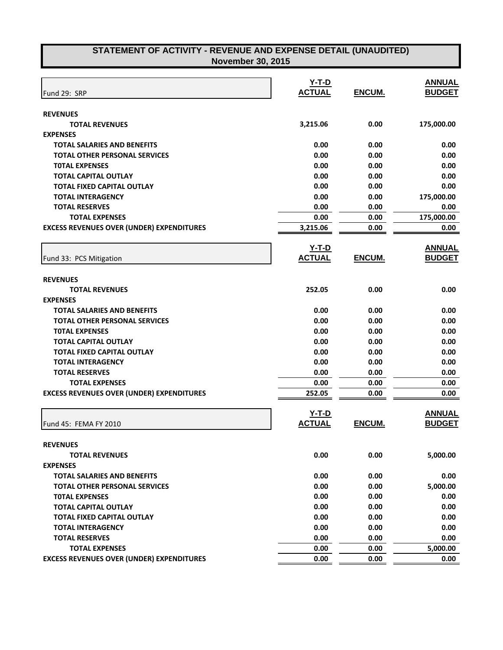| Fund 29: SRP                                     | $Y-T-D$<br><b>ACTUAL</b> | ENCUM.        | <b>ANNUAL</b><br><b>BUDGET</b> |
|--------------------------------------------------|--------------------------|---------------|--------------------------------|
|                                                  |                          |               |                                |
| <b>REVENUES</b><br><b>TOTAL REVENUES</b>         | 3,215.06                 | 0.00          | 175,000.00                     |
| <b>EXPENSES</b>                                  |                          |               |                                |
| <b>TOTAL SALARIES AND BENEFITS</b>               | 0.00                     | 0.00          | 0.00                           |
| <b>TOTAL OTHER PERSONAL SERVICES</b>             | 0.00                     | 0.00          | 0.00                           |
| <b>TOTAL EXPENSES</b>                            | 0.00                     | 0.00          | 0.00                           |
| <b>TOTAL CAPITAL OUTLAY</b>                      | 0.00                     | 0.00          | 0.00                           |
| <b>TOTAL FIXED CAPITAL OUTLAY</b>                | 0.00                     | 0.00          | 0.00                           |
| <b>TOTAL INTERAGENCY</b>                         | 0.00                     | 0.00          | 175,000.00                     |
| <b>TOTAL RESERVES</b>                            | 0.00                     | 0.00          | 0.00                           |
| <b>TOTAL EXPENSES</b>                            | 0.00                     | 0.00          | 175,000.00                     |
| <b>EXCESS REVENUES OVER (UNDER) EXPENDITURES</b> | 3,215.06                 | 0.00          | 0.00                           |
|                                                  |                          |               |                                |
|                                                  | <b>Y-T-D</b>             |               | <b>ANNUAL</b>                  |
| Fund 33: PCS Mitigation                          | <b>ACTUAL</b>            | ENCUM.        | <b>BUDGET</b>                  |
|                                                  |                          |               |                                |
| <b>REVENUES</b>                                  |                          |               |                                |
| <b>TOTAL REVENUES</b>                            | 252.05                   | 0.00          | 0.00                           |
| <b>EXPENSES</b>                                  |                          |               |                                |
| <b>TOTAL SALARIES AND BENEFITS</b>               | 0.00                     | 0.00          | 0.00                           |
| <b>TOTAL OTHER PERSONAL SERVICES</b>             | 0.00                     | 0.00          | 0.00                           |
| <b>TOTAL EXPENSES</b>                            | 0.00                     | 0.00          | 0.00                           |
| <b>TOTAL CAPITAL OUTLAY</b>                      | 0.00                     | 0.00          | 0.00                           |
| <b>TOTAL FIXED CAPITAL OUTLAY</b>                | 0.00                     | 0.00          | 0.00                           |
| <b>TOTAL INTERAGENCY</b>                         | 0.00                     | 0.00          | 0.00                           |
| <b>TOTAL RESERVES</b>                            | 0.00                     | 0.00          | 0.00                           |
| <b>TOTAL EXPENSES</b>                            | 0.00                     | 0.00          | 0.00                           |
| <b>EXCESS REVENUES OVER (UNDER) EXPENDITURES</b> | 252.05                   | 0.00          | 0.00                           |
|                                                  | $Y-T-D$                  |               | <b>ANNUAL</b>                  |
| Fund 45: FEMA FY 2010                            | <b>ACTUAL</b>            | <b>ENCUM.</b> | <b>BUDGET</b>                  |
|                                                  |                          |               |                                |
| <b>REVENUES</b>                                  |                          |               |                                |
| <b>TOTAL REVENUES</b>                            | 0.00                     | 0.00          | 5,000.00                       |
| <b>EXPENSES</b>                                  |                          |               |                                |
| <b>TOTAL SALARIES AND BENEFITS</b>               | 0.00                     | 0.00          | 0.00                           |
| <b>TOTAL OTHER PERSONAL SERVICES</b>             | 0.00                     | 0.00          | 5,000.00                       |
| <b>TOTAL EXPENSES</b>                            | 0.00                     | 0.00          | 0.00                           |
| <b>TOTAL CAPITAL OUTLAY</b>                      | 0.00                     | 0.00          | 0.00                           |
| <b>TOTAL FIXED CAPITAL OUTLAY</b>                | 0.00                     | 0.00          | 0.00                           |
| <b>TOTAL INTERAGENCY</b>                         | 0.00                     | 0.00          | 0.00                           |
| <b>TOTAL RESERVES</b>                            | 0.00                     | 0.00          | 0.00                           |
| <b>TOTAL EXPENSES</b>                            | 0.00                     | 0.00          | 5,000.00                       |
| <b>EXCESS REVENUES OVER (UNDER) EXPENDITURES</b> | 0.00                     | 0.00          | 0.00                           |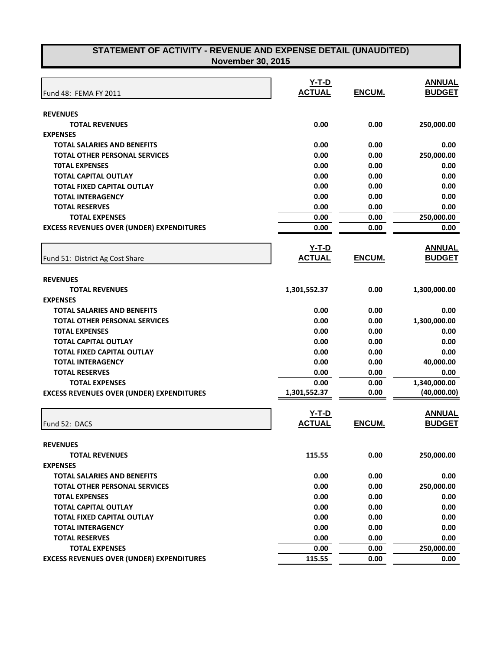|                                                               | $Y-T-D$        |               | <b>ANNUAL</b>      |
|---------------------------------------------------------------|----------------|---------------|--------------------|
| Fund 48: FEMA FY 2011                                         | <b>ACTUAL</b>  | ENCUM.        | <b>BUDGET</b>      |
|                                                               |                |               |                    |
| <b>REVENUES</b><br><b>TOTAL REVENUES</b>                      | 0.00           | 0.00          |                    |
| <b>EXPENSES</b>                                               |                |               | 250,000.00         |
| <b>TOTAL SALARIES AND BENEFITS</b>                            | 0.00           | 0.00          | 0.00               |
| TOTAL OTHER PERSONAL SERVICES                                 | 0.00           | 0.00          | 250,000.00         |
| <b>TOTAL EXPENSES</b>                                         | 0.00           | 0.00          | 0.00               |
| <b>TOTAL CAPITAL OUTLAY</b>                                   | 0.00           | 0.00          | 0.00               |
| <b>TOTAL FIXED CAPITAL OUTLAY</b>                             | 0.00           | 0.00          | 0.00               |
| <b>TOTAL INTERAGENCY</b>                                      | 0.00           | 0.00          | 0.00               |
| <b>TOTAL RESERVES</b>                                         | 0.00           | 0.00          | 0.00               |
| <b>TOTAL EXPENSES</b>                                         | 0.00           | 0.00          | 250,000.00         |
| <b>EXCESS REVENUES OVER (UNDER) EXPENDITURES</b>              | 0.00           | 0.00          | 0.00               |
|                                                               |                |               |                    |
|                                                               | <b>Y-T-D</b>   |               | <b>ANNUAL</b>      |
| Fund 51: District Ag Cost Share                               | <b>ACTUAL</b>  | ENCUM.        | <b>BUDGET</b>      |
|                                                               |                |               |                    |
| <b>REVENUES</b>                                               |                |               |                    |
| <b>TOTAL REVENUES</b>                                         | 1,301,552.37   | 0.00          | 1,300,000.00       |
| <b>EXPENSES</b>                                               |                |               |                    |
| TOTAL SALARIES AND BENEFITS                                   | 0.00           | 0.00          | 0.00               |
| <b>TOTAL OTHER PERSONAL SERVICES</b>                          | 0.00           | 0.00          | 1,300,000.00       |
| <b>TOTAL EXPENSES</b>                                         | 0.00           | 0.00          | 0.00               |
| <b>TOTAL CAPITAL OUTLAY</b>                                   | 0.00           | 0.00          | 0.00               |
| TOTAL FIXED CAPITAL OUTLAY                                    | 0.00           | 0.00          | 0.00               |
| <b>TOTAL INTERAGENCY</b>                                      | 0.00           | 0.00          | 40,000.00          |
| <b>TOTAL RESERVES</b>                                         | 0.00           | 0.00          | 0.00               |
| <b>TOTAL EXPENSES</b>                                         | 0.00           | 0.00          | 1,340,000.00       |
| <b>EXCESS REVENUES OVER (UNDER) EXPENDITURES</b>              | 1,301,552.37   | 0.00          | (40,000.00)        |
|                                                               |                |               |                    |
|                                                               | $Y-T-D$        |               | <b>ANNUAL</b>      |
| Fund 52: DACS                                                 | <b>ACTUAL</b>  | <b>ENCUM.</b> | <b>BUDGET</b>      |
|                                                               |                |               |                    |
| <b>REVENUES</b>                                               |                |               |                    |
| <b>TOTAL REVENUES</b>                                         | 115.55         | 0.00          | 250,000.00         |
| <b>EXPENSES</b><br><b>TOTAL SALARIES AND BENEFITS</b>         | 0.00           | 0.00          | 0.00               |
|                                                               | 0.00           |               |                    |
| <b>TOTAL OTHER PERSONAL SERVICES</b><br><b>TOTAL EXPENSES</b> | 0.00           | 0.00          | 250,000.00         |
| <b>TOTAL CAPITAL OUTLAY</b>                                   | 0.00           | 0.00<br>0.00  | 0.00               |
|                                                               | 0.00           | 0.00          | 0.00               |
| TOTAL FIXED CAPITAL OUTLAY                                    |                |               | 0.00               |
| <b>TOTAL INTERAGENCY</b>                                      | 0.00           | 0.00          | 0.00               |
| <b>TOTAL RESERVES</b><br><b>TOTAL EXPENSES</b>                | 0.00           | 0.00          | 0.00               |
| <b>EXCESS REVENUES OVER (UNDER) EXPENDITURES</b>              | 0.00<br>115.55 | 0.00<br>0.00  | 250,000.00<br>0.00 |
|                                                               |                |               |                    |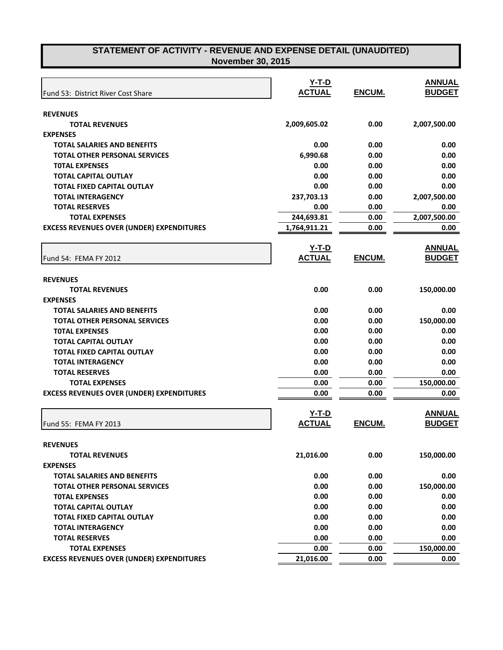| Fund 53: District River Cost Share               | $Y-T-D$<br><b>ACTUAL</b> | ENCUM. | <b>ANNUAL</b><br><b>BUDGET</b> |
|--------------------------------------------------|--------------------------|--------|--------------------------------|
| <b>REVENUES</b>                                  |                          |        |                                |
| <b>TOTAL REVENUES</b>                            | 2,009,605.02             | 0.00   | 2,007,500.00                   |
| <b>EXPENSES</b>                                  |                          |        |                                |
| <b>TOTAL SALARIES AND BENEFITS</b>               | 0.00                     | 0.00   | 0.00                           |
| <b>TOTAL OTHER PERSONAL SERVICES</b>             | 6,990.68                 | 0.00   | 0.00                           |
| <b>TOTAL EXPENSES</b>                            | 0.00                     | 0.00   | 0.00                           |
| <b>TOTAL CAPITAL OUTLAY</b>                      | 0.00                     | 0.00   | 0.00                           |
| <b>TOTAL FIXED CAPITAL OUTLAY</b>                | 0.00                     | 0.00   | 0.00                           |
| <b>TOTAL INTERAGENCY</b>                         | 237,703.13               | 0.00   | 2,007,500.00                   |
| <b>TOTAL RESERVES</b>                            | 0.00                     | 0.00   | 0.00                           |
| <b>TOTAL EXPENSES</b>                            | 244,693.81               | 0.00   | 2,007,500.00                   |
| <b>EXCESS REVENUES OVER (UNDER) EXPENDITURES</b> | 1,764,911.21             | 0.00   | 0.00                           |
|                                                  | <b>Y-T-D</b>             |        | <b>ANNUAL</b>                  |
| Fund 54: FEMA FY 2012                            | <b>ACTUAL</b>            | ENCUM. | <b>BUDGET</b>                  |
| <b>REVENUES</b>                                  |                          |        |                                |
| <b>TOTAL REVENUES</b>                            | 0.00                     | 0.00   | 150,000.00                     |
| <b>EXPENSES</b>                                  |                          |        |                                |
| <b>TOTAL SALARIES AND BENEFITS</b>               | 0.00                     | 0.00   | 0.00                           |
| <b>TOTAL OTHER PERSONAL SERVICES</b>             | 0.00                     | 0.00   | 150,000.00                     |
| <b>TOTAL EXPENSES</b>                            | 0.00                     | 0.00   | 0.00                           |
| <b>TOTAL CAPITAL OUTLAY</b>                      | 0.00                     | 0.00   | 0.00                           |
| <b>TOTAL FIXED CAPITAL OUTLAY</b>                | 0.00                     | 0.00   | 0.00                           |
| <b>TOTAL INTERAGENCY</b>                         | 0.00                     | 0.00   | 0.00                           |
| <b>TOTAL RESERVES</b>                            | 0.00                     | 0.00   | 0.00                           |
| <b>TOTAL EXPENSES</b>                            | 0.00                     | 0.00   | 150,000.00                     |
| <b>EXCESS REVENUES OVER (UNDER) EXPENDITURES</b> | 0.00                     | 0.00   | 0.00                           |
|                                                  | $Y-T-D$                  |        | <b>ANNUAL</b>                  |
| Fund 55: FEMA FY 2013                            | <b>ACTUAL</b>            | ENCUM. | <b>BUDGET</b>                  |
| <b>REVENUES</b>                                  |                          |        |                                |
| <b>TOTAL REVENUES</b>                            | 21,016.00                | 0.00   | 150,000.00                     |
| <b>EXPENSES</b>                                  |                          |        |                                |
| <b>TOTAL SALARIES AND BENEFITS</b>               | 0.00                     | 0.00   | 0.00                           |
| <b>TOTAL OTHER PERSONAL SERVICES</b>             | 0.00                     | 0.00   | 150,000.00                     |
| <b>TOTAL EXPENSES</b>                            | 0.00                     | 0.00   | 0.00                           |
| <b>TOTAL CAPITAL OUTLAY</b>                      | 0.00                     | 0.00   | 0.00                           |
| <b>TOTAL FIXED CAPITAL OUTLAY</b>                | 0.00                     | 0.00   | 0.00                           |
| <b>TOTAL INTERAGENCY</b>                         | 0.00                     | 0.00   | 0.00                           |
| <b>TOTAL RESERVES</b>                            | 0.00                     | 0.00   | 0.00                           |
| <b>TOTAL EXPENSES</b>                            | 0.00                     | 0.00   | 150,000.00                     |
| <b>EXCESS REVENUES OVER (UNDER) EXPENDITURES</b> | 21,016.00                | 0.00   | 0.00                           |